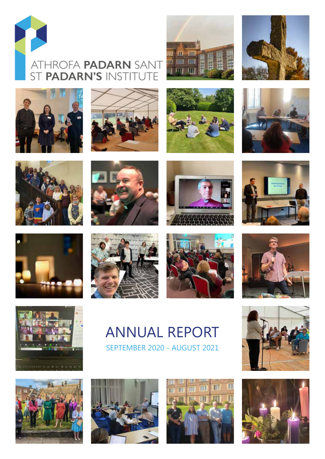































### ANNUAL REPORT SEPTEMBER 2020 - AUGUST 2021









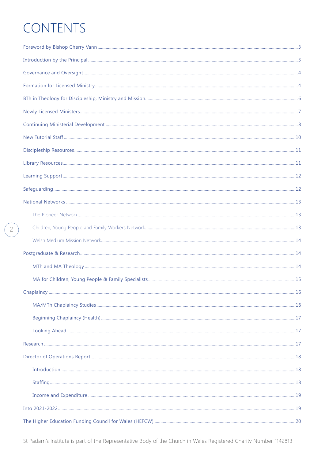## CONTENTS

-2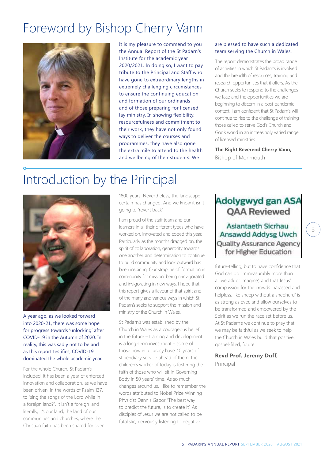### Foreword by Bishop Cherry Vann



It is my pleasure to commend to you the Annual Report of the St Padarn's Institute for the academic year 2020/2021. In doing so, I want to pay tribute to the Principal and Staff who have gone to extraordinary lengths in extremely challenging circumstances to ensure the continuing education and formation of our ordinands and of those preparing for licensed lay ministry. In showing flexibility, resourcefulness and commitment to their work, they have not only found ways to deliver the courses and programmes, they have also gone the extra mile to attend to the health and wellbeing of their students. We

### are blessed to have such a dedicated team serving the Church in Wales.

The report demonstrates the broad range of activities in which St Padarn's is involved and the breadth of resources, training and research opportunities that it offers. As the Church seeks to respond to the challenges we face and the opportunities we are beginning to discern in a post-pandemic context, I am confident that St Padarn's will continue to rise to the challenge of training those called to serve God's Church and God's world in an increasingly varied range of licensed ministries.

**The Right Reverend Cherry Vann,**  Bishop of Monmouth

## Introduction by the Principal



A year ago, as we looked forward into 2020-21, there was some hope for progress towards 'unlocking' after COVID-19 in the Autumn of 2020. In reality, this was sadly not to be and as this report testifies, COVID-19 dominated the whole academic year.

For the whole Church, St Padarn's included, it has been a year of enforced innovation and collaboration, as we have been driven, in the words of Psalm 137, to "sing the songs of the Lord while in a foreign land?". It isn't a foreign land literally, it's our land, the land of our communities and churches, where the Christian faith has been shared for over

1800 years. Nevertheless, the landscape certain has changed. And we know it isn't going to 'revert back'.

I am proud of the staff team and our learners in all their different types who have worked on, innovated and coped this year. Particularly as the months dragged on, the spirit of collaboration, generosity towards one another, and determination to continue to build community and look outward has been inspiring. Our strapline of 'formation in community for mission' being reinvigorated and invigorating in new ways. I hope that this report gives a flavour of that spirit and of the many and various ways in which St Padarn's seeks to support the mission and ministry of the Church in Wales.

St Padarn's was established by the Church in Wales as a courageous belief in the future – training and development is a long-term investment – some of those now in a curacy have 40 years of stipendiary service ahead of them; the children's worker of today is fostering the faith of those who will sit in Governing Body in 50 years' time. As so much changes around us, I like to remember the words attributed to Nobel Prize Winning Physicist Dennis Gabor 'The best way to predict the future, is to create it'. As disciples of Jesus we are not called to be fatalistic, nervously listening to negative

### Adolygwyd gan ASA **OAA Reviewed**

**Asiantaeth Sicrhau** Ansawdd Addysg Uwch **Quality Assurance Agency** for Higher Education

 $\overline{\phantom{a}}$ 

future-telling, but to have confidence that God can do 'immeasurably more than all we ask or imagine', and that Jesus' compassion for the crowds 'harassed and helpless, like sheep without a shepherd' is as strong as ever, and allow ourselves to be transformed and empowered by the Spirit as we run the race set before us. At St Padarn's we continue to pray that we may be faithful as we seek to help the Church in Wales build that positive, gospel-filled, future.

### **Revd Prof. Jeremy Duff,**

Principal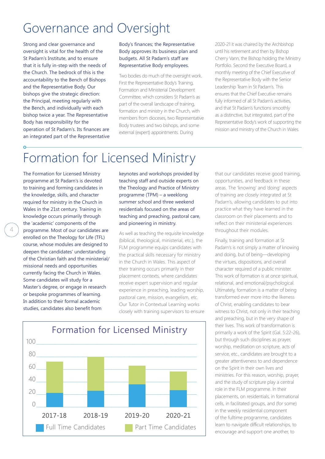### Governance and Oversight

Strong and clear governance and oversight is vital for the health of the St Padarn's Institute, and to ensure that it is fully in-step with the needs of the Church. The bedrock of this is the accountability to the Bench of Bishops and the Representative Body. Our bishops give the strategic direction: the Principal, meeting regularly with the Bench, and individually with each bishop twice a year. The Representative Body has responsibility for the operation of St Padarn's. Its finances are an integrated part of the Representative

#### Body's finances; the Representative Body approves its business plan and budgets. All St Padarn's staff are Representative Body employees.

Two bodies do much of the oversight work. First the Representative Body's Training, Formation and Ministerial Development Committee, which considers St Padarn's as part of the overall landscape of training, formation and ministry in the Church, with members from dioceses, two Representative Body trustees and two bishops, and some external (expert) appointments. During

2020-21 it was chaired by the Archbishop until his retirement and then by Bishop Cherry Vann, the Bishop holding the Ministry Portfolio. Second the Executive Board, a monthly meeting of the Chief Executive of the Representative Body with the Senior Leadership Team in St Padarn's. This ensures that the Chief Executive remains fully informed of all St Padarn's activities, and that St Padarn's functions smoothly as a distinctive, but integrated, part of the Representative Body's work of supporting the mission and ministry of the Church in Wales.

## Formation for Licensed Ministry

The Formation for Licensed Ministry programme at St Padarn's is devoted to training and forming candidates in the knowledge, skills, and character required for ministry in the Church in Wales in the 21st century. Training in knowledge occurs primarily through the 'academic' components of the programme. Most of our candidates are enrolled on the Theology for Life (TFL) course, whose modules are designed to deepen the candidates' understanding of the Christian faith and the ministerial/ missional needs and opportunities currently facing the Church in Wales. Some candidates will study for a Master's degree, or engage in research or bespoke programmes of learning. In addition to their formal academic studies, candidates also benefit from

4

keynotes and workshops provided by teaching staff and outside experts on the Theology and Practice of Ministry programme (TPM) – a weeklong summer school and three weekend residentials focused on the areas of teaching and preaching, pastoral care, and pioneering in ministry.

As well as teaching the requisite knowledge (biblical, theological, ministerial, etc.), the FLM programme equips candidates with the practical skills necessary for ministry in the Church in Wales. This aspect of their training occurs primarily in their placement contexts, where candidates receive expert supervision and regular experience in preaching, leading worship, pastoral care, mission, evangelism, etc. Our Tutor in Contextual Learning works closely with training supervisors to ensure

that our candidates receive good training, opportunities, and feedback in these areas. The 'knowing' and 'doing' aspects of training are closely integrated at St Padarn's, allowing candidates to put into practice what they have learned in the classroom on their placements and to reflect on their ministerial experiences throughout their modules.

Finally, training and formation at St Padarn's is not simply a matter of knowing and doing, but of being—developing the virtues, dispositions, and overall character required of a public minister. This work of formation is at once spiritual, relational, and emotional/psychological. Ultimately, formation is a matter of being transformed ever more into the likeness of Christ, enabling candidates to bear witness to Christ, not only in their teaching and preaching, but in the very shape of their lives. This work of transformation is primarily a work of the Spirit (Gal. 5:22-26), but through such disciplines as prayer, worship, meditation on scripture, acts of service, etc., candidates are brought to a greater attentiveness to and dependence on the Spirit in their own lives and ministries. For this reason, worship, prayer, and the study of scripture play a central role in the FLM programme. In their placements, on residentials, in formational cells, in facilitated groups, and (for some) in the weekly residential component of the fulltime programme, candidates learn to navigate difficult relationships, to encourage and support one another, to

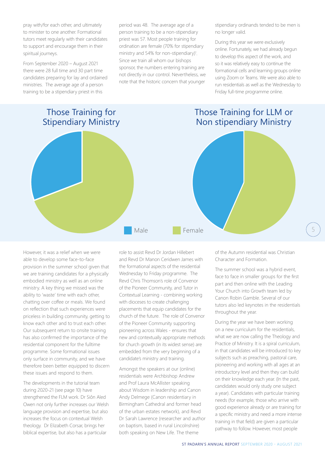pray with/for each other, and ultimately to minister to one another. Formational tutors meet regularly with their candidates to support and encourage them in their spiritual journeys.

From September 2020 – August 2021 there were 28 full time and 30 part time candidates preparing for lay and ordained ministries. The average age of a person training to be a stipendiary priest in this

period was 48. The average age of a person training to be a non-stipendiary priest was 57. Most people training for ordination are female (70% for stipendiary ministry and 54% for non-stipendiary)<sup>1</sup>. Since we train all whom our bishops sponsor, the numbers entering training are not directly in our control. Nevertheless, we note that the historic concern that younger

stipendiary ordinands tended to be men is no longer valid.

During this year we were exclusively online. Fortunately, we had already begun to develop this aspect of the work, and so it was relatively easy to continue the formational cells and learning groups online using Zoom or Teams. We were also able to run residentials as well as the Wednesday to Friday full-time programme online.



However, it was a relief when we were able to develop some face-to-face provision in the summer school given that we are training candidates for a physically embodied ministry as well as an online ministry. A key thing we missed was the ability to 'waste' time with each other, chatting over coffee or meals. We found on reflection that such experiences were priceless in building community, getting to know each other and to trust each other. Our subsequent return to onsite training has also confirmed the importance of the residential component for the fulltime programme. Some formational issues only surface in community, and we have therefore been better equipped to discern these issues and respond to them.

The developments in the tutorial team during 2020-21 (see page 10) have strengthened the FLM work. Dr Siôn Aled Owen not only further increases our Welsh language provision and expertise, but also increases the focus on contextual Welsh theology. Dr Elizabeth Corsar, brings her biblical expertise, but also has a particular

role to assist Revd Dr Jordan Hillebert and Revd Dr Manon Ceridwen James with the formational aspects of the residential Wednesday to Friday programme. The Revd Chris Thomson's role of Convenor of the Pioneer Community, and Tutor in Contextual Learning - combining working with dioceses to create challenging placements that equip candidates for the church of the future. The role of Convenor of the Pioneer Community supporting pioneering across Wales - ensures that new and contextually appropriate methods for church growth (in its widest sense) are embedded from the very beginning of a candidate's ministry and training.

Amongst the speakers at our (online) residentials were Archbishop Andrew and Prof Laura McAllister speaking about Wisdom in leadership and Canon Andy Delmege (Canon residentiary in Birmingham Cathedral and former head of the urban estates network), and Revd Dr Sarah Lawrence (researcher and author on baptism, based in rural Lincolnshire) both speaking on New Life. The theme

of the Autumn residential was Christian Character and Formation.

5

The summer school was a hybrid event, face to face in smaller groups for the first part and then online with the Leading Your Church into Growth team led by Canon Robin Gamble. Several of our tutors also led keynotes in the residentials throughout the year.

During the year we have been working on a new curriculum for the residentials, what we are now calling the Theology and Practice of Ministry. It is a spiral curriculum, in that candidates will be introduced to key subjects such as preaching, pastoral care, pioneering and working with all ages at an introductory level and then they can build on their knowledge each year. (In the past, candidates would only study one subject a year). Candidates with particular training needs (for example, those who arrive with good experience already or are training for a specific ministry and need a more intense training in that field) are given a particular pathway to follow. However, most people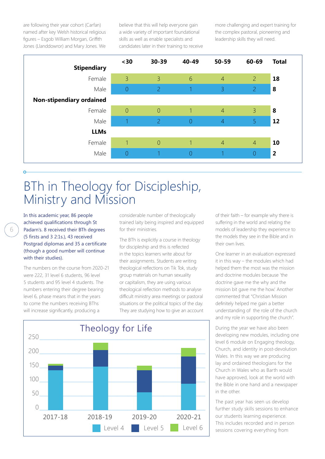are following their year cohort (Carfan) named after key Welsh historical religious figures – Esgob William Morgan, Griffith Jones (Llanddowror) and Mary Jones. We believe that this will help everyone gain a wide variety of important foundational skills as well as enable specialists and candidates later in their training to receive

more challenging and expert training for the complex pastoral, pioneering and leadership skills they will need.



### BTh in Theology for Discipleship, Ministry and Mission

In this academic year, 86 people achieved qualifications through St Padarn's. 8 received their BTh degrees (5 firsts and 3 2:1s.), 43 received Postgrad diplomas and 35 a certificate (though a good number will continue with their studies).

6

The numbers on the course from 2020-21 were 222, 31 level 6 students, 96 level 5 students and 95 level 4 students. The numbers entering their degree bearing level 6, phase means that in the years to come the numbers receiving BThs will increase significantly, producing a

considerable number of theologically trained laity being inspired and equipped for their ministries.

The BTh is explicitly a course in theology for discipleship and this is reflected in the topics learners write about for their assignments. Students are writing theological reflections on Tik Tok, study group materials on human sexuality or capitalism, they are using various theological reflection methods to analyse difficult ministry area meetings or pastoral situations or the political topics of the day. They are studying how to give an account



of their faith – for example why there is suffering in the world and relating the models of leadership they experience to the models they see in the Bible and in their own lives.

One learner in an evaluation expressed it in this way – the modules which had helped them the most was the mission and doctrine modules because 'the doctrine gave me the why and the mission bit gave me the how.' Another commented that "Christian Mission definitely helped me gain a better understanding of the role of the church and my role in supporting the church".

During the year we have also been developing new modules, including one level 6 module on Engaging theology, Church, and identity in post-devolution Wales. In this way we are producing lay and ordained theologians for the Church in Wales who as Barth would have approved, look at the world with the Bible in one hand and a newspaper in the other.

The past year has seen us develop further study skills sessions to enhance our students learning experience. This includes recorded and in person sessions covering everything from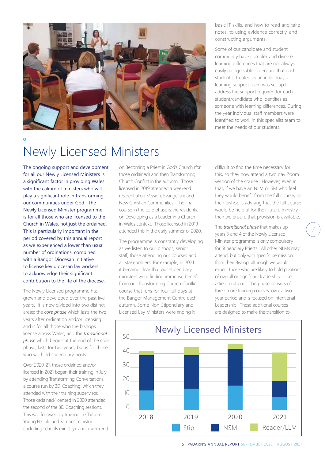

basic IT skills, and how to read and take notes, to using evidence correctly, and constructing arguments.

Some of our candidate and student community have complex and diverse learning differences that are not always easily recognisable. To ensure that each student is treated as an individual, a learning support team was set-up to address the support required for each student/candidate who identifies as someone with learning differences. During the year individual staff members were identified to work in this specialist team to meet the needs of our students.

## Newly Licensed Ministers

The ongoing support and development for all our Newly Licensed Ministers is a significant factor in providing Wales with the calibre of ministers who will play a significant role in transforming our communities under God. The Newly Licensed Minister programme is for all those who are licensed to the Church in Wales, not just the ordained. This is particularly important in the period covered by this annual report as we experienced a lower than usual number of ordinations, combined with a Bangor Diocesan initiative to license key diocesan lay workers to acknowledge their significant contribution to the life of the diocese.

The Newly Licensed programme has grown and developed over the past five years. It is now divided into two distinct areas; the *core phase* which lasts the two years after ordination and/or licensing and is for all those who the bishops license across Wales, and the *transitional phase* which begins at the end of the core phase, lasts for two years, but is for those who will hold stipendiary posts.

Over 2020-21, those ordained and/or licensed in 2021 began their training in July by attending Transforming Conversations, a course run by 3D Coaching, which they attended with their training supervisor. Those ordained/licensed in 2020 attended the second of the 3D Coaching sessions. This was followed by training in Children, Young People and Families ministry (including schools ministry), and a weekend on Becoming a Priest in God's Church (for those ordained) and then Transforming Church Conflict in the autumn. Those licensed in 2019 attended a weekend residential on Mission, Evangelism and New Christian Communities. The final course in the core phase is the residential on Developing as a Leader in a Church in Wales context. Those licensed in 2019 attended this in the early summer of 2020.

The programme is constantly developing as we listen to our bishops, senior staff, those attending our courses and all stakeholders, for example, in 2021 it became clear that our stipendiary ministers were finding immense benefit from our Transforming Church Conflict course that runs for four full days at the Bangor Management Centre each autumn. Some Non-Stipendiary and Licensed Lay Ministers were finding it

difficult to find the time necessary for this, so they now attend a two day Zoom version of the course. However, even in that, if we have an NLM or SM who feel they would benefit from the full course, or their bishop is advising that the full course would be helpful for their future ministry, then we ensure that provision is available.

The *transitional phase* that makes up years 3 and 4 of the Newly Licensed Minister programme is only compulsory for Stipendiary Priests. All other NLMs may attend, but only with specific permission from their Bishop, although we would expect those who are likely to hold positions of overall or significant leadership to be asked to attend. This phase consists of three more training courses, over a twoyear period and is focused on Intentional Leadership. These additional courses are designed to make the transition to

7



ST PADARN'S ANNUAL REPORT SEPTEMBER 2020 - AUGUST 2021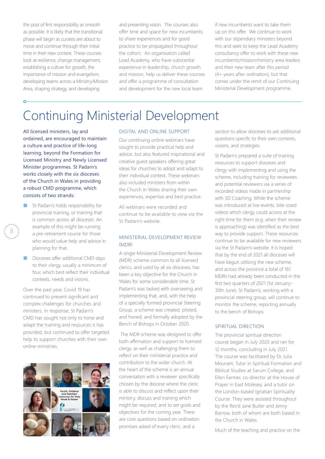the post of first responsibility as smooth as possible. It is likely that the transitional phase will begin as curates are about to move and continue through their initial time in their new context. These courses look at resilience, change management, establishing a culture for growth, the importance of mission and evangelism, developing teams across a Ministry/Mission Area, shaping strategy, and developing

and presenting vision. The courses also offer time and space for new incumbents to share experiences and for good practice to be propagated throughout the cohort. An organisation called Lead Academy, who have substantial experience in leadership, church growth and mission, help us deliver these courses and offer a programme of consultation and development for the new local team

if new incumbents want to take them up on this offer. We continue to work with our stipendiary ministers beyond this and seek to keep the Lead Academy consultancy offer to work with these new incumbents/mission/ministry area leaders and their new team after this period (4+ years after ordination), but that comes under the remit of our Continuing Ministerial Development programme.

## Continuing Ministerial Development

All licensed ministers, lay and ordained, are encouraged to maintain a culture and practice of life-long learning, beyond the Formation for Licensed Ministry and Newly Licensed Minister programmes. St Padarn's works closely with the six dioceses of the Church in Wales in providing a robust CMD programme, which consists of two strands:

St Padarn's holds responsibility for provincial training, or training that is common across all dioceses. An example of this might be running a pre-retirement course for those who would value help and advice in planning for that.

8

 $\Omega$ 

■ Dioceses offer additional CMD days to their clergy, usually a minimum of four, which best reflect their individual contexts, needs and visions.

Over the past year, Covid 19 has continued to present significant and complex challenges for churches and ministers. In response, St Padarn's CMD has sought not only to hone and adapt the training and resources it has provided, but continued to offer targeted help to support churches with their own online ministries.



#### DIGITAL AND ONLINE SUPPORT

Our continuing online webinars have sought to provide practical help and advice, but also featured inspirational and creative guest speakers offering great ideas for churches to adopt and adapt to their individual context. These webinars also included ministers from within the Church in Wales sharing their own experiences, expertise and best practice.

All webinars were recorded and continue to be available to view via the St Padarn's website.

#### MINISTERIAL DEVELOPMENT REVIEW (MDR)

A single Ministerial Development Review (MDR) scheme common to all licensed clerics, and used by all six dioceses, has been a key objective for the Church in Wales for some considerable time. St Padarn's was tasked with overseeing and implementing that, and, with the help of a specially formed provincial Steering Group, a scheme was created, piloted, and honed, and formally adopted by the Bench of Bishops in October 2020.

 The MDR scheme was designed to offer both affirmation and support to licensed clergy, as well as challenging them to reflect on their ministerial practice and contribution to the wider church. At the heart of the scheme is an annual conversation with a reviewer specifically chosen by the diocese where the cleric is able to discuss and reflect upon their ministry, discuss and training which might be required, and to set goals and objectives for the coming year. There are core questions based on ordination promises asked of every cleric, and a

section to allow dioceses to ask additional questions specific to their own contexts, visions, and strategies.

St Padarn's prepared a suite of training resources to support dioceses and clergy with implementing and using the scheme, including training for reviewees and potential reviewers via a series of recorded videos made in partnership with 3D Coaching. While the scheme was introduced at live events, bite-sized videos which clergy could access at the right time for them (e.g. when their review is approaching) was identified as the best way to provide support. These resources continue to be available for new reviewers via the St Padarn's website. It is hoped that by the end of 2021 all dioceses will have begun utilising the new scheme, and across the province a total of 161 MDRs had already been conducted in the first two quarters of 2021 (1st January-30th June). St Padarn's, working with a provincial steering group, will continue to monitor the scheme, reporting annually to the bench of Bishops.

#### SPIRITUAL DIRECTION

The provincial spiritual direction course began in July 2020 and ran for 12 months, concluding in July 2021. The course was facilitated by Dr Julia Mourant, Tutor in Spiritual Formation and Biblical Studies at Sarum College, and Ellen Farmer, co-director at the House of Prayer in East Molesey, and a tutor on the London-based Ignatian Spirituality Course. They were assisted throughout by the Rev'd Jane Butler and Jenny Barrow, both of whom are both based in the Church in Wales.

Much of the teaching and practice on the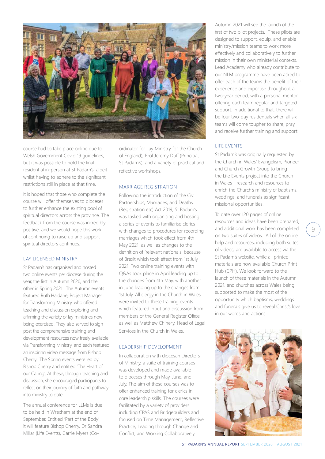

course had to take place online due to Welsh Government Covid 19 guidelines, but it was possible to hold the final residential in-person at St Padarn's, albeit whilst having to adhere to the significant restrictions still in place at that time.

It is hoped that those who complete the course will offer themselves to dioceses to further enhance the existing pool of spiritual directors across the province. The feedback from the course was incredibly positive, and we would hope this work of continuing to raise up and support spiritual directors continues.

### LAY LICENSED MINISTRY

St Padarn's has organised and hosted two online events per diocese during the year, the first in Autumn 2020, and the other in Spring 2021. The Autumn events featured Ruth Haldane, Project Manager for Transforming Ministry, who offered teaching and discussion exploring and affirming the variety of lay ministries now being exercised. They also served to sign post the comprehensive training and development resources now freely available via Transforming Ministry, and each featured an inspiring video message from Bishop Cherry. The Spring events were led by Bishop Cherry and entitled 'The Heart of our Calling'. At these, through teaching and discussion, she encouraged participants to reflect on their journey of faith and pathway into ministry to date.

The annual conference for LLMs is due to be held in Wrexham at the end of September. Entitled 'Part of the Body' it will feature Bishop Cherry, Dr Sandra Millar (Life Events), Carrie Myers (Co-

ordinator for Lay Ministry for the Church of England), Prof Jeremy Duff (Principal, St Padarn's), and a variety of practical and reflective workshops.

#### MARRIAGE REGISTRATION

Following the introduction of the Civil Partnerships, Marriages, and Deaths (Registration etc) Act 2019, St Padarn's was tasked with organising and hosting a series of events to familiarise clerics with changes to procedures for recording marriages which took effect from 4th May 2021, as well as changes to the definition of 'relevant nationals' because of Brexit which took effect from 1st July 2021. Two online training events with Q&As took place in April leading up to the changes from 4th May, with another in June leading up to the changes from 1st July. All clergy in the Church in Wales were invited to these training events which featured input and discussion from members of the General Register Office, as well as Matthew Chinery, Head of Legal Services in the Church in Wales.

#### LEADERSHIP DEVELOPMENT

In collaboration with diocesan Directors of Ministry, a suite of training courses was developed and made available to dioceses through May, June, and July. The aim of these courses was to offer enhanced training for clerics in core leadership skills. The courses were facilitated by a variety of providers including CPAS and Bridgebuilders and focused on Time Management, Reflective Practice, Leading through Change and Conflict, and Working Collaboratively.

Autumn 2021 will see the launch of the first of two pilot projects. These pilots are designed to support, equip, and enable ministry/mission teams to work more effectively and collaboratively to further mission in their own ministerial contexts. Lead Academy who already contribute to our NLM programme have been asked to offer each of the teams the benefit of their experience and expertise throughout a two-year period, with a personal mentor offering each team regular and targeted support. In additional to that, there will be four two-day residentials when all six teams will come tougher to share, pray, and receive further training and support.

#### LIFE EVENTS

St Padarn's was originally requested by the Church in Wales' Evangelism, Pioneer, and Church Growth Group to bring the Life Events project into the Church in Wales - research and resources to enrich the Church's ministry of baptisms, weddings, and funerals as significant missional opportunities.

To date over 120 pages of online resources and ideas have been prepared, and additional work has been completed on two suites of videos. All of the online help and resources, including both suites of videos, are available to access via the St Padarn's website, while all printed materials are now available Church Print Hub (CPH). We look forward to the launch of these materials in the Autumn 2021, and churches across Wales being supported to make the most of the opportunity which baptisms, weddings and funerals give us to reveal Christ's love in our words and actions.

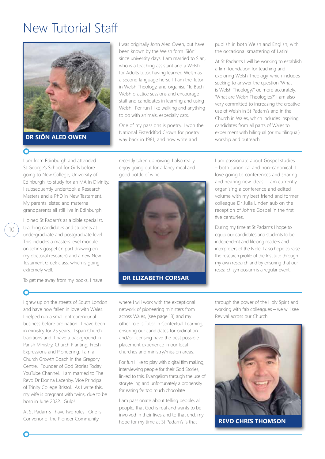### New Tutorial Staff



**DR SIÔN ALED OWEN**

I am from Edinburgh and attended St George's School for Girls before going to New College, University of Edinburgh, to study for an MA in Divinity. I subsequently undertook a Research Masters and a PhD in New Testament. My parents, sister, and maternal grandparents all still live in Edinburgh. I joined St Padarn's as a bible specialist, teaching candidates and students at undergraduate and postgraduate level. This includes a masters level module on John's gospel (in part drawing on my doctoral research) and a new New Testament Greek class, which is going

I was originally John Aled Owen, but have been known by the Welsh form 'Siôn' since university days. I am married to Sian, who is a teaching assistant and a Welsh for Adults tutor, having learned Welsh as a second language herself. I am the Tutor in Welsh Theology, and organise 'Te Bach' Welsh practice sessions and encourage staff and candidates in learning and using Welsh. For fun I like walking and anything to do with animals, especially cats.

One of my passions is poetry. I won the National Eisteddfod Crown for poetry way back in 1981, and now write and

recently taken up rowing. I also really enjoy going out for a fancy meal and good bottle of wine.



**DR ELIZABETH CORSAR**

publish in both Welsh and English, with the occasional smattering of Latin!

At St Padarn's I will be working to establish a firm foundation for teaching and exploring Welsh Theology, which includes seeking to answer the question 'What is Welsh Theology?' or, more accurately, 'What are Welsh Theologies?' I am also very committed to increasing the creative use of Welsh in St Padarn's and in the Church in Wales, which includes inspiring candidates from all parts of Wales to experiment with bilingual (or multilingual) worship and outreach.

I am passionate about Gospel studies – both canonical and non-canonical. I love going to conferences and sharing and hearing new ideas. I am currently organising a conference and edited volume with my best friend and former colleague Dr Julia Lindenlaub on the reception of John's Gospel in the first five centuries.

During my time at St Padarn's I hope to equip our candidates and students to be independent and lifelong readers and interpreters of the Bible. I also hope to raise the research profile of the Institute through my own research and by ensuring that our research symposium is a regular event.

To get me away from my books, I have

extremely well.

I grew up on the streets of South London and have now fallen in love with Wales. I helped run a small entrepreneurial business before ordination. I have been in ministry for 25 years. I span Church traditions and I have a background in Parish Ministry, Church Planting, Fresh Expressions and Pioneering. I am a Church Growth Coach in the Gregory Centre. Founder of God Stories Today YouTube Channel. I am married to The Revd Dr Donna Lazenby, Vice Principal of Trinity College Bristol. As I write this, my wife is pregnant with twins, due to be born in June 2022. Gulp!

At St Padarn's I have two roles: One is Convenor of the Pioneer Community

where I will work with the exceptional network of pioneering ministers from across Wales, (see page 13) and my other role is Tutor in Contextual Learning, ensuring our candidates for ordination and/or licensing have the best possible placement experience in our local churches and ministry/mission areas.

For fun I like to play with digital film making, interviewing people for their God Stories, linked to this, Evangelism through the use of storytelling and unfortunately a propensity for eating far too much chocolate

I am passionate about telling people, all people, that God is real and wants to be involved in their lives and to that end, my hope for my time at St Padarn's is that

through the power of the Holy Spirit and working with fab colleagues – we will see Revival across our Church.



**REVD CHRIS THOMSON**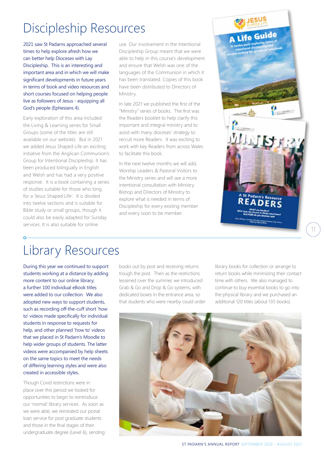## Discipleship Resources

2021 saw St Padarns approached several times to help explore afresh how we can better help Dioceses with Lay Discipleship. This is an interesting and important area and in which we will make significant developments in future years in terms of book and video resources and short courses focused on helping people live as followers of Jesus - equipping all God's people (Ephesians 4).

Early exploration of this area included the Living & Learning series for Small Groups (some of the titles are still available on our website). But in 2021 we added Jesus Shaped Life an exciting initiative from the Anglican Communion's Group for Intentional Discipleship. It has been produced bilingually in English and Welsh and has had a very positive response. It is a book containing a series of studies suitable for those who long for a 'Jesus Shaped Life'. It is divided into twelve sections and is suitable for Bible study or small groups, though it could also be easily adapted for Sunday services. It is also suitable for online

use. Our involvement in the Intentional Discipleship Group meant that we were able to help in this course's development and ensure that Welsh was one of the languages of the Communion in which it has been translated. Copies of this book have been distributed to Directors of Ministry.

In late 2021 we published the first of the "Ministry" series of books. The first was the Readers booklet to help clarify this important and integral ministry and to assist with many dioceses' strategy to recruit more Readers. It was exciting to work with key Readers from across Wales to facilitate this book.

In the next twelve months we will add, Worship Leaders & Pastoral Visitors to the Ministry series and will see a more intentional consultation with Ministry Bishop and Directors of Ministry to explore what is needed in terms of Discipleship for every existing member and every soon to be member.



# Library Resources

During this year we continued to support students working at a distance by adding more content to our online library; a further 100 individual eBook titles were added to our collection. We also adopted new ways to support students, such as recording off-the-cuff short 'how to' videos made specifically for individual students in response to requests for help, and other planned 'how to' videos that we placed in St Padarn's Moodle to help wider groups of students. The latter videos were accompanied by help sheets on the same topics to meet the needs of differing learning styles and were also created in accessible styles.

Though Covid restrictions were in place over this period we looked for opportunities to begin to reintroduce our 'normal' library services. As soon as we were able, we reinstated our postal loan service for post graduate students and those in the final stages of their undergraduate degree (Level 6), sending

books out by post and receiving returns trough the post. Then as the restrictions lessened over the summer, we introduced Grab & Go and Drop & Go systems, with dedicated boxes in the entrance area, so that students who were nearby could order

library books for collection or arrange to return books while minimizing their contact time with others. We also managed to continue to buy essential books to go into the physical library and we purchased an additional 120 titles (about 135 books).

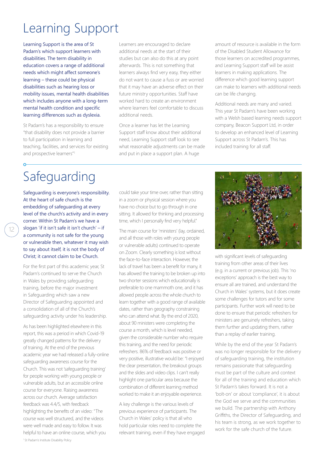### Learning Support

Learning Support is the area of St Padarn's which support learners with disabilities. The term disability in education covers a range of additional needs which might affect someone's learning – these could be physical disabilities such as hearing loss or mobility issues, mental health disabilities which includes anyone with a long-term mental health condition and specific learning differences such as dyslexia.

St Padarn's has a responsibility to ensure "that disability does not provide a barrier to full participation in learning and teaching, facilities, and services for existing and prospective learners"1

Learners are encouraged to declare additional needs at the start of their studies but can also do this at any point afterwards. This is not something that learners always find very easy, they either do not want to cause a fuss or are worried that it may have an adverse effect on their future ministry opportunities. Staff have worked hard to create an environment where learners feel comfortable to discuss additional needs.

Once a learner has let the Learning Support staff know about their additional need, Learning Support staff look to see what reasonable adjustments can be made and put in place a support plan. A huge

amount of resource is available in the form of the Disabled Student Allowance for those learners on accredited programmes, and Learning Support staff will be assist learners in making applications. The difference which good learning support can make to learners with additional needs can be life changing.

Additional needs are many and varied. This year St Padarn's have been working with a Welsh based learning needs support company, Beacon Support Ltd, in order to develop an enhanced level of Learning Support across St Padarn's. This has included training for all staff.

# Safeguarding

Safeguarding is everyone's responsibility. At the heart of safe church is the embedding of safeguarding at every level of the church's activity and in every corner. Within St Padarn's we have a slogan 'if it isn't safe it isn't church' – if a community is not safe for the young or vulnerable then, whatever it may wish to say about itself, it is not the body of Christ; it cannot claim to be Church.

12

For the first part of this academic year, St Padarn's continued to serve the Church in Wales by providing safeguarding training, before the major investment in Safeguarding which saw a new Director of Safeguarding appointed and a consolidation of all of the Church's safeguarding activity under his leadership.

As has been highlighted elsewhere in this report, this was a period in which Covid-19 greatly changed patterns for the delivery of training. At the end of the previous academic year we had released a fully-online safeguarding awareness course for the Church. This was not 'safeguarding training' for people working with young people or vulnerable adults, but an accessible online course for everyone. Raising awareness across our church. Average satisfaction feedback was 4.4/5, with feedback highlighting the benefits of an video: "The course was well structured, and the videos were well made and easy to follow. It was helpful to have an online course, which you

could take your time over, rather than sitting in a zoom or physical session where you have no choice but to go through in one sitting. It allowed for thinking and processing time, which I personally find very helpful."

The main course for 'ministers' (lay, ordained, and all those with roles with young people or vulnerable adults) continued to operate on Zoom. Clearly something is lost without the face-to-face interaction. However, the lack of travel has been a benefit for many, it has allowed the training to be broken up into two shorter sessions which educationally is preferable to one mammoth one, and it has allowed people across the whole church to learn together with a good range of available dates, rather than geography constraining who can attend what. By the end of 2020, about 90 ministers were completing the course a month, which is level needed, given the considerable number who require this training, and the need for periodic refreshers. 86% of feedback was positive or very positive, illustrative would be: "I enjoyed the clear presentation, the breakout groups and the slides and video clips. I can't really highlight one particular area because the combination of different learning method worked to make it an enjoyable experience.

A key challenge is the various levels of previous experience of participants. The Church in Wales' policy is that all who hold particular roles need to complete the relevant training, even if they have engaged



with significant levels of safeguarding training from other areas of their lives (e.g. in a current or previous job). This 'no exceptions' approach is the best way to ensure all are trained, and understand the Church in Wales' systems, but it does create some challenges for tutors and for some participants. Further work will need to be done to ensure that periodic refreshers for ministers are genuinely refreshers, taking them further and updating them, rather than a replay of earlier training.

While by the end of the year St Padarn's was no longer responsible for the delivery of safeguarding training, the institution remains passionate that safeguarding must be part of the culture and context for all of the training and education which St Padarn's takes forward. It is not a 'bolt-on' or about 'compliance', it is about the God we serve and the communities we build. The partnership with Anthony Griffiths, the Director of Safeguarding, and his team is strong, as we work together to work for the safe church of the future.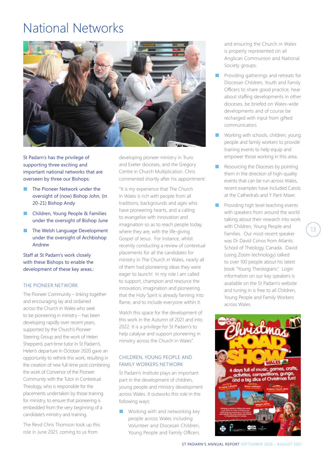### National Networks



St Padarn's has the privilege of supporting three exciting and important national networks that are overseen by three our Bishops:

- The Pioneer Network under the oversight of (now) Bishop John, (in 20-21) Bishop Andy
- Children, Young People & Families under the oversight of Bishop June
- The Welsh Language Development under the oversight of Archbishop Andrew

Staff at St Padarn's work closely with these Bishops to enable the development of these key areas.:

### THE PIONEER NETWORK

The Pioneer Community – linking together and encouraging lay and ordained across the Church in Wales who seek to be pioneering in ministry – has been developing rapidly over recent years, supported by the Church's Pioneer Steering Group and the work of Helen Shepperd, part-time tutor in St Padarn's. Helen's departure in October 2020 gave an opportunity to rethink this work, resulting in the creation of new full-time post combining the work of Convenor of the Pioneer Community with the Tutor in Contextual Theology, who is responsible for the placements undertaken by those training for ministry, to ensure that pioneering is embedded from the very beginning of a candidate's ministry and training.

The Revd Chris Thomson took up this role in June 2021, coming to us from

developing pioneer ministry in Truro and Exeter dioceses, and the Gregory Centre in Church Multiplication. Chris commented shortly after his appointment:

"It is my experience that The Church in Wales is rich with people from all traditions, backgrounds and ages who have pioneering hearts, and a calling to evangelise with innovation and imagination so as to reach people today, where they are, with the life-giving Gospel of Jesus. For instance, whilst recently conducting a review of contextual placements for all the candidates for ministry in The Church in Wales, nearly all of them had pioneering ideas they were eager to launch! In my role I am called to support, champion and resource the innovation, imagination and pioneering that the Holy Spirit is already fanning into flame, and to include everyone within it.

Watch this space for the development of this work in the Autumn of 2021 and into 2022. It is a privilege for St Padarn's to help catalyse and support pioneering in ministry across the Church in Wales".

### CHILDREN, YOUNG PEOPLE AND FAMILY WORKERS NETWORK

St Padarn's Institute plays an important part in the development of children, young people and ministry development across Wales. It outworks this role in the following ways:

■ Working with and networking key people across Wales including Volunteer and Diocesan Children, Young People and Family Officers

and ensuring the Church in Wales is properly represented on all Anglican Communion and National Society groups.

- Providing gatherings and retreats for Diocesan Children, Youth and Family Officers to share good practice, hear about staffing developments in other dioceses, be briefed on Wales-wide developments and of course be recharged with input from gifted communicators.
- Working with schools, children, young people and family workers to provide training events to help equip and empower those working in this area.
- Resourcing the Dioceses by pointing them in the direction of high-quality events that can be run across Wales, recent examples have included Carols at the Cathedrals and Y Parti Mawr.
- Providing high level teaching events with speakers from around the world talking about their research into work with Children, Young People and Families. Our most recent speaker was Dr David Csinos from Atlantic School of Theology, Canada. David (using Zoom technology) talked to over 100 people about his latest book "Young Theologians." Login information on our key speakers is available on the St Padarn's website and tuning in is free to all Children, Young People and Family Workers across Wales.

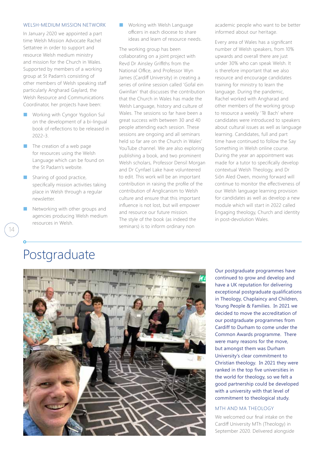#### WELSH-MEDIUM MISSION NETWORK

In January 2020 we appointed a part time Welsh Mission Advocate Rachel Settatree in order to support and resource Welsh medium ministry and mission for the Church in Wales. Supported by members of a working group at St Padarn's consisting of other members of Welsh speaking staff particularly Angharad Gaylard, the Welsh Resource and Communications Coordinator, her projects have been:

- Working with Cyngor Ysgolion Sul on the development of a bi-lingual book of reflections to be released in 2022-3.
- The creation of a web page for resources using the Welsh Language which can be found on the St Padarn's website.
- Sharing of good practice, specifically mission activities taking place in Welsh through a regular newsletter.
- Networking with other groups and agencies producing Welsh medium resources in Welsh.

■ Working with Welsh Language officers in each diocese to share ideas and learn of resource needs.

The working group has been collaborating on a joint project with Revd Dr Ainsley Griffiths from the National Office, and Professor Wyn James (Cardiff University) in creating a series of online session called 'Gofal ein Gwinllan' that discusses the contribution that the Church in Wales has made the Welsh Language, history and culture of Wales. The sessions so far have been a great success with between 30 and 40 people attending each session. These sessions are ongoing and all seminars held so far are on the Church in Wales' YouTube channel. We are also exploring publishing a book, and two prominent Welsh scholars, Professor Densil Morgan and Dr Cynfael Lake have volunteered to edit. This work will be an important contribution in raising the profile of the contribution of Anglicanism to Welsh culture and ensure that this important influence is not lost, but will empower and resource our future mission. The style of the book (as indeed the seminars) is to inform ordinary non

academic people who want to be better informed about our heritage.

Every area of Wales has a significant number of Welsh speakers, from 10% upwards and overall there are just under 30% who can speak Welsh. It is therefore important that we also resource and encourage candidates training for ministry to learn the language. During the pandemic, Rachel worked with Angharad and other members of the working group to resource a weekly 'Tê Bach' where candidates were introduced to speakers about cultural issues as well as language learning. Candidates, full and part time have continued to follow the Say Something in Welsh online course. During the year an appointment was made for a tutor to specifically develop contextual Welsh Theology, and Dr Siôn Aled Owen, moving forward will continue to monitor the effectiveness of our Welsh language learning provision for candidates as well as develop a new module which will start in 2022 called Engaging theology, Church and identity in post-devolution Wales.

### Postgraduate

 $\overline{14}$ 



Our postgraduate programmes have continued to grow and develop and have a UK reputation for delivering exceptional postgraduate qualifications in Theology, Chaplaincy and Children, Young People & Families. In 2021 we decided to move the accreditation of our postgraduate programmes from Cardiff to Durham to come under the Common Awards programme. There were many reasons for the move, but amongst them was Durham University's clear commitment to Christian theology. In 2021 they were ranked in the top five universities in the world for theology, so we felt a good partnership could be developed with a university with that level of commitment to theological study.

### MTH AND MA THEOLOGY

We welcomed our final intake on the Cardiff University MTh (Theology) in September 2020. Delivered alongside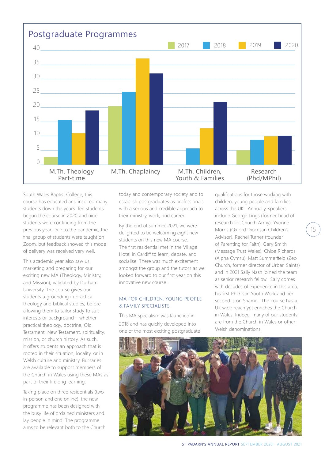

South Wales Baptist College, this course has educated and inspired many students down the years. Ten students begun the course in 2020 and nine students were continuing from the previous year. Due to the pandemic, the final group of students were taught on Zoom, but feedback showed this mode of delivery was received very well.

This academic year also saw us marketing and preparing for our exciting new MA (Theology, Ministry, and Mission), validated by Durham University. The course gives our students a grounding in practical theology and biblical studies, before allowing them to tailor study to suit interests or background – whether practical theology, doctrine, Old Testament, New Testament, spirituality, mission, or church history. As such, it offers students an approach that is rooted in their situation, locality, or in Welsh culture and ministry. Bursaries are available to support members of the Church in Wales using these MAs as part of their lifelong learning.

Taking place on three residentials (two in-person and one online), the new programme has been designed with the busy life of ordained ministers and lay people in mind. The programme aims to be relevant both to the Church

today and contemporary society and to establish postgraduates as professionals with a serious and credible approach to their ministry, work, and career.

By the end of summer 2021, we were delighted to be welcoming eight new students on this new MA course. The first residential met in the Village Hotel in Cardiff to learn, debate, and socialise. There was much excitement amongst the group and the tutors as we looked forward to our first year on this innovative new course.

### MA FOR CHILDREN, YOUNG PEOPLE & FAMILY SPECIALISTS

This MA specialism was launched in 2018 and has quickly developed into one of the most exciting postgraduate

qualifications for those working with children, young people and families across the UK. Annually, speakers include George Lings (former head of research for Church Army), Yvonne Morris (Oxford Diocesan Children's Advisor), Rachel Turner (founder of Parenting for Faith), Gary Smith (Message Trust Wales), Chloe Richards (Alpha Cymru), Matt Summerfield (Zeo Church, former director of Urban Saints) and in 2021 Sally Nash joined the team as senior research fellow. Sally comes with decades of experience in this area. his first PhD is in Youth Work and her second is on Shame. The course has a UK wide reach yet enriches the Church in Wales. Indeed, many of our students are from the Church in Wales or other Welsh denominations.

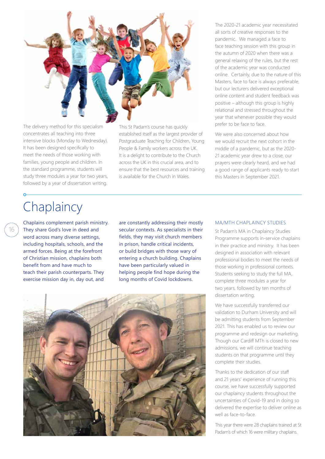

The delivery method for this specialism concentrates all teaching into three intensive blocks (Monday to Wednesday). It has been designed specifically to meet the needs of those working with families, young people and children. In the standard programme, students will study three modules a year for two years, followed by a year of dissertation writing.

This St Padarn's course has quickly established itself as the largest provider of Postgraduate Teaching for Children, Young People & Family workers across the UK. It is a delight to contribute to the Church across the UK in this crucial area, and to ensure that the best resources and training is available for the Church in Wales.

The 2020-21 academic year necessitated all sorts of creative responses to the pandemic. We managed a face to face teaching session with this group in the autumn of 2020 when there was a general relaxing of the rules, but the rest of the academic year was conducted online. Certainly, due to the nature of this Masters, face to face is always preferable, but our lecturers delivered exceptional online content and student feedback was positive – although this group is highly relational and stressed throughout the year that whenever possible they would prefer to be face to face.

We were also concerned about how we would recruit the next cohort in the middle of a pandemic, but as the 2020- 21 academic year drew to a close, our prayers were clearly heard, and we had a good range of applicants ready to start this Masters in September 2021.

## **Chaplaincy**

16

Chaplains complement parish ministry. They share God's love in deed and word across many diverse settings, including hospitals, schools, and the armed forces. Being at the forefront of Christian mission, chaplains both benefit from and have much to teach their parish counterparts. They exercise mission day in, day out, and

are constantly addressing their mostly secular contexts. As specialists in their fields, they may visit church members in prison, handle critical incidents, or build bridges with those wary of entering a church building. Chaplains have been particularly valued in helping people find hope during the long months of Covid lockdowns.



#### MA/MTH CHAPLAINCY STUDIES

St Padarn's MA in Chaplaincy Studies Programme supports in-service chaplains in their practice and ministry. It has been designed in association with relevant professional bodies to meet the needs of those working in professional contexts. Students seeking to study the full MA, complete three modules a year for two years, followed by ten months of dissertation writing.

We have successfully transferred our validation to Durham University and will be admitting students from September 2021. This has enabled us to review our programme and redesign our marketing. Though our Cardiff MTh is closed to new admissions, we will continue teaching students on that programme until they complete their studies.

Thanks to the dedication of our staff and 21 years' experience of running this course, we have successfully supported our chaplaincy students throughout the uncertainties of Covid-19 and in doing so delivered the expertise to deliver online as well as face-to-face.

This year there were 28 chaplains trained at St Padarn's of which 16 were military chaplains.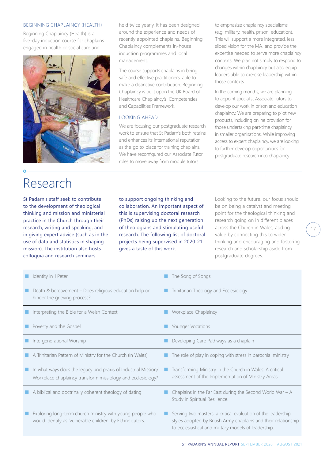#### BEGINNING CHAPLAINCY (HEALTH)

Beginning Chaplaincy (Health) is a five-day induction course for chaplains engaged in health or social care and



## Research

St Padarn's staff seek to contribute to the development of theological thinking and mission and ministerial practice in the Church through their research, writing and speaking, and in giving expert advice (such as in the use of data and statistics in shaping mission). The institution also hosts colloquia and research seminars

held twice yearly. It has been designed around the experience and needs of recently appointed chaplains. Beginning Chaplaincy complements in-house induction programmes and local management.

The course supports chaplains in being safe and effective practitioners, able to make a distinctive contribution. Beginning Chaplaincy is built upon the UK Board of Healthcare Chaplaincy's Competencies and Capabilities Framework.

#### LOOKING AHEAD

We are focusing our postgraduate research work to ensure that St Padarn's both retains and enhances its international reputation as the 'go to' place for training chaplains. We have reconfigured our Associate Tutor roles to move away from module tutors

to emphasize chaplaincy specialisms (e.g. military, health, prison, education). This will support a more integrated, less siloed vision for the MA, and provide the expertise needed to serve more chaplaincy contexts. We plan not simply to respond to changes within chaplaincy but also equip leaders able to exercise leadership within those contexts.

In the coming months, we are planning to appoint specialist Associate Tutors to develop our work in prison and education chaplaincy. We are preparing to pilot new products, including online provision for those undertaking part-time chaplaincy in smaller organisations. While improving access to expert chaplaincy, we are looking to further develop opportunities for postgraduate research into chaplaincy.

to support ongoing thinking and collaboration. An important aspect of this is supervising doctoral research (PhDs) raising up the next generation of theologians and stimulating useful research. The following list of doctoral projects being supervised in 2020-21 gives a taste of this work.

Looking to the future, our focus should be on being a catalyst and meeting point for the theological thinking and research going on in different places across the Church in Wales, adding value by connecting this to wider thinking and encouraging and fostering research and scholarship aside from postgraduate degrees.

| Identity in 1 Peter                                                                                                           | The Song of Songs                                                                                                                                                                       |
|-------------------------------------------------------------------------------------------------------------------------------|-----------------------------------------------------------------------------------------------------------------------------------------------------------------------------------------|
| Death & bereavement - Does religious education help or<br>hinder the grieving process?                                        | Trinitarian Theology and Ecclesiology                                                                                                                                                   |
| Interpreting the Bible for a Welsh Context                                                                                    | Workplace Chaplaincy                                                                                                                                                                    |
| Poverty and the Gospel                                                                                                        | <b>Younger Vocations</b>                                                                                                                                                                |
| Intergenerational Worship                                                                                                     | Developing Care Pathways as a chaplain                                                                                                                                                  |
| A Trinitarian Pattern of Ministry for the Church (in Wales)                                                                   | The role of play in coping with stress in parochial ministry                                                                                                                            |
| In what ways does the legacy and praxis of Industrial Mission/<br>Workplace chaplaincy transform missiology and ecclesiology? | Transforming Ministry in the Church in Wales: A critical<br>assessment of the Implementation of Ministry Areas                                                                          |
| A biblical and doctrinally coherent theology of dating                                                                        | Chaplains in the Far East during the Second World War $-$ A<br>Study in Spiritual Resilience.                                                                                           |
| Exploring long-term church ministry with young people who<br>would identify as 'vulnerable children' by EU indicators.        | Serving two masters: a critical evaluation of the leadership<br>styles adopted by British Army chaplains and their relationship<br>to ecclesiastical and military models of leadership. |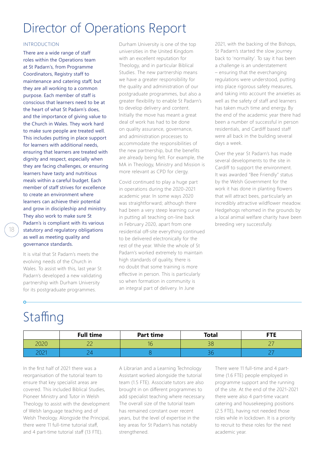### Director of Operations Report

### INTRODUCTION

There are a wide range of staff roles within the Operations team at St Padarn's, from Programme Coordinators, Registry staff to maintenance and catering staff, but they are all working to a common purpose. Each member of staff is conscious that learners need to be at the heart of what St Padarn's does, and the importance of giving value to the Church in Wales. They work hard to make sure people are treated well. This includes putting in place support for learners with additional needs, ensuring that learners are treated with dignity and respect, especially when they are facing challenges, or ensuring learners have tasty and nutritious meals within a careful budget. Each member of staff strives for excellence to create an environment where learners can achieve their potential and grow in discipleship and ministry. They also work to make sure St Padarn's is compliant with its various statutory and regulatory obligations as well as meeting quality and governance standards.

It is vital that St Padarn's meets the evolving needs of the Church in Wales. To assist with this, last year St Padarn's developed a new validating partnership with Durham University for its postgraduate programmes.

Durham University is one of the top universities in the United Kingdom with an excellent reputation for Theology, and in particular Biblical Studies. The new partnership means we have a greater responsibility for the quality and administration of our postgraduate programmes, but also a greater flexibility to enable St Padarn's to develop delivery and content. Initially the move has meant a great deal of work has had to be done on quality assurance, governance, and administration processes to accommodate the responsibilities of the new partnership, but the benefits are already being felt. For example, the MA in Theology, Ministry and Mission is more relevant as CPD for clergy.

Covid continued to play a huge part in operations during the 2020-2021 academic year. In some ways 2020 was straightforward; although there had been a very steep learning curve in putting all teaching on-line back in February 2020, apart from one residential off-site everything continued to be delivered electronically for the rest of the year. While the whole of St Padarn's worked extremely to maintain high standards of quality, there is no doubt that some training is more effective in person. This is particularly so when formation in community is an integral part of delivery. In June

2021, with the backing of the Bishops, St Padarn's started the slow journey back to 'normality'. To say it has been a challenge is an understatement – ensuring that the everchanging regulations were understood, putting into place rigorous safety measures, and taking into account the anxieties as well as the safety of staff and learners has taken much time and energy. By the end of the academic year there had been a number of successful in person residentials, and Cardiff based staff were all back in the building several days a week.

Over the year St Padarn's has made several developments to the site in Cardiff to support the environment. It was awarded "Bee Friendly" status by the Welsh Government for the work it has done in planting flowers that will attract bees, particularly an incredibly attractive wildflower meadow. Hedgehogs rehomed in the grounds by a local animal welfare charity have been breeding very successfully.

# **Staffing**

18

|             | <b>Full time</b> | <b>Part time</b> | <b>Total</b> | <b>CTC</b>               |
|-------------|------------------|------------------|--------------|--------------------------|
| ากาก<br>UZ. |                  | IU.              | ЭΟ           | $\overline{\phantom{0}}$ |
| י∩∩י<br>.UZ |                  |                  |              |                          |

In the first half of 2021 there was a reorganisation of the tutorial team to ensure that key specialist areas are covered. This included Biblical Studies, Pioneer Ministry and Tutor in Welsh Theology to assist with the development of Welsh language teaching and of Welsh Theology. Alongside the Principal, there were 11 full-time tutorial staff, and 4 part-time tutorial staff (13 FTE).

A Librarian and a Learning Technology Assistant worked alongside the tutorial team (1.5 FTE). Associate tutors are also brought in on different programmes to add specialist teaching where necessary. The overall size of the tutorial team has remained constant over recent years, but the level of expertise in the key areas for St Padarn's has notably strengthened.

There were 11 full-time and 4 parttime (1.6 FTE) people employed in programme support and the running of the site. At the end of the 2021-2021 there were also 4 part-time vacant catering and housekeeping positions (2.5 FTE), having not needed those roles while in lockdown. It is a priority to recruit to these roles for the next academic year.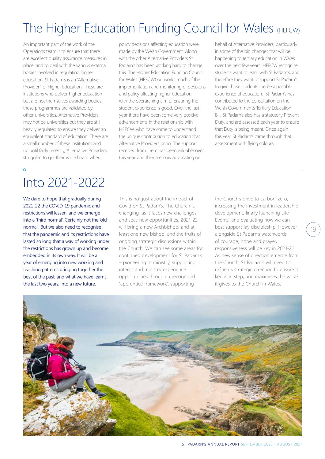## The Higher Education Funding Council for Wales (HEFCW)

An important part of the work of the Operations team is to ensure that there are excellent quality assurance measures in place, and to deal with the various external bodies involved in regulating higher education. St Padarn's is an "Alternative Provider" of Higher Education. These are institutions who deliver higher education but are not themselves awarding bodies, these programmes are validated by other universities. Alternative Providers may not be universities but they are still heavily regulated to ensure they deliver an equivalent standard of education. There are a small number of these institutions and up until fairly recently, Alternative Providers struggled to get their voice heard when

policy decisions affecting education were made by the Welsh Government. Along with the other Alternative Providers St Padarn's has been working hard to change this. The Higher Education Funding Council for Wales (HEFCW) outworks much of the implementation and monitoring of decisions and policy affecting higher education, with the overarching aim of ensuring the student experience is good. Over the last year there have been some very positive advancements in the relationship with HEFCW, who have come to understand the unique contribution to education that Alternative Providers bring. The support received from them has been valuable over this year, and they are now advocating on

behalf of Alternative Providers, particularly in some of the big changes that will be happening to tertiary education in Wales over the next few years. HEFCW recognise students want to learn with St Padarn's, and therefore they want to support St Padarn's to give those students the best possible experience of education. St Padarn's has contributed to the consultation on the Welsh Government's Tertiary Education Bill. St Padarn's also has a statutory Prevent Duty, and are assessed each year to ensure that Duty is being meant. Once again this year St Padarn's came through that assessment with flying colours.

## Into 2021-2022

We dare to hope that gradually during 2021-22 the COVID-19 pandemic and restrictions will lessen, and we emerge into a 'third normal'. Certainly not the 'old normal'. But we also need to recognise that the pandemic and its restrictions have lasted so long that a way of working under the restrictions has grown up and become embedded in its own way. It will be a year of emerging into new working and teaching patterns bringing together the best of the past, and what we have learnt the last two years, into a new future.

This is not just about the impact of Covid on St Padarn's. The Church is changing, as it faces new challenges and sees new opportunities. 2021-22 will bring a new Archbishop, and at least one new bishop, and the fruits of ongoing strategic discussions within the Church. We can see some areas for continued development for St Padarn's – pioneering in ministry, supporting interns and ministry experience opportunities through a recognised 'apprentice framework', supporting

the Church's drive to carbon-zero, increasing the investment in leadership development, finally launching Life Events, and evaluating how we can best support lay discipleship. However, alongside St Padarn's watchwords of courage, hope and prayer, responsiveness will be key in 2021-22. As new sense of direction emerge from the Church, St Padarn's will need to refine its strategic direction to ensure it keeps in step, and maximises the value it gives to the Church in Wales.